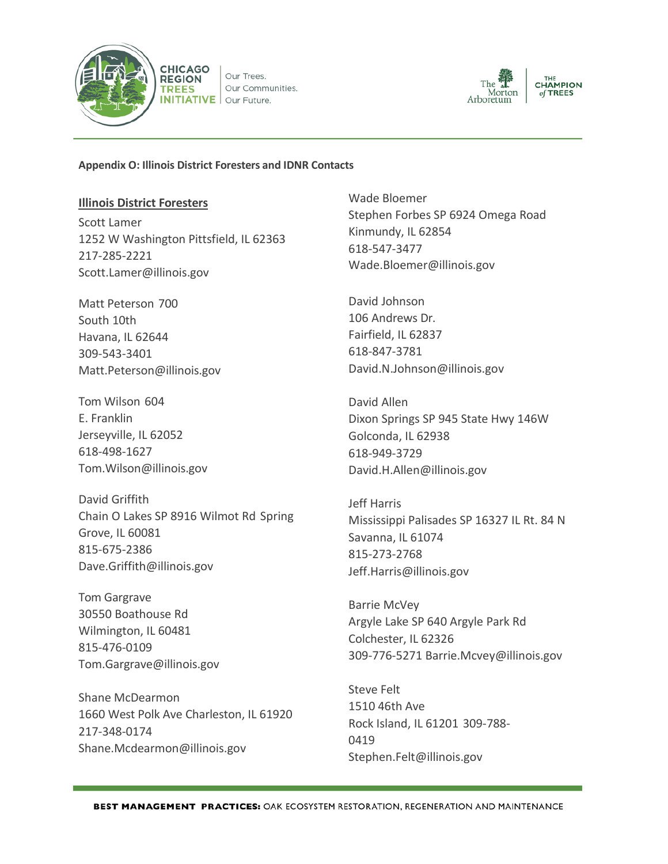

Our Trees. Our Communities.  $INITIATIVE$  Our Future.



#### **Appendix O: Illinois District Foresters and IDNR Contacts**

#### **Illinois District Foresters**

Scott Lamer 1252 W Washington Pittsfield, IL 62363 217-285-2221 [Scott.Lamer@illinois.gov](mailto:Scott.Lamer@illinois.gov)

Matt Peterson 700 South 10th Havana, IL 62644 309-543-3401 [Matt.Peterson@illinois.gov](mailto:Matt.Peterson@illinois.gov)

Tom Wilson 604 E. Franklin Jerseyville, IL 62052 618-498-1627 [Tom.Wilson@illinois.gov](mailto:Tom.Wilson@illinois.gov)

David Griffith Chain O Lakes SP 8916 Wilmot Rd Spring Grove, IL 60081 815-675-2386 [Dave.Griffith@illinois.gov](mailto:Dave.Griffith@illinois.gov)

Tom Gargrave 30550 Boathouse Rd Wilmington, IL 60481 815-476-0109 [Tom.Gargrave@illinois.gov](mailto:Tom.Gargrave@illinois.gov)

Shane McDearmon 1660 West Polk Ave Charleston, IL 61920 217-348-0174 [Shane.Mcdearmon@illinois.gov](mailto:Shane.Mcdearmon@illinois.gov)

Wade Bloemer Stephen Forbes SP 6924 Omega Road Kinmundy, IL 62854 618-547-3477 [Wade.Bloemer@illinois.gov](mailto:Wade.Bloemer@illinois.gov)

David Johnson 106 Andrews Dr. Fairfield, IL 62837 618-847-3781 [David.N.Johnson@illinois.gov](mailto:David.N.Johnson@illinois.gov)

David Allen Dixon Springs SP 945 State Hwy 146W Golconda, IL 62938 618-949-3729 [David.H.Allen@illinois.gov](mailto:David.H.Allen@illinois.gov)

Jeff Harris Mississippi Palisades SP 16327 IL Rt. 84 N Savanna, IL 61074 815-273-2768 [Jeff.Harris@illinois.gov](mailto:Jeff.Harris@illinois.gov)

Barrie McVey Argyle Lake SP 640 Argyle Park Rd Colchester, IL 62326 309-776-5271 [Barrie.Mcvey@illinois.gov](mailto:Barrie.Mcvey@illinois.gov)

Steve Felt 1510 46th Ave Rock Island, IL 61201 309-788- 0419 [Stephen.Felt@illinois.gov](mailto:Stephen.Felt@illinois.gov)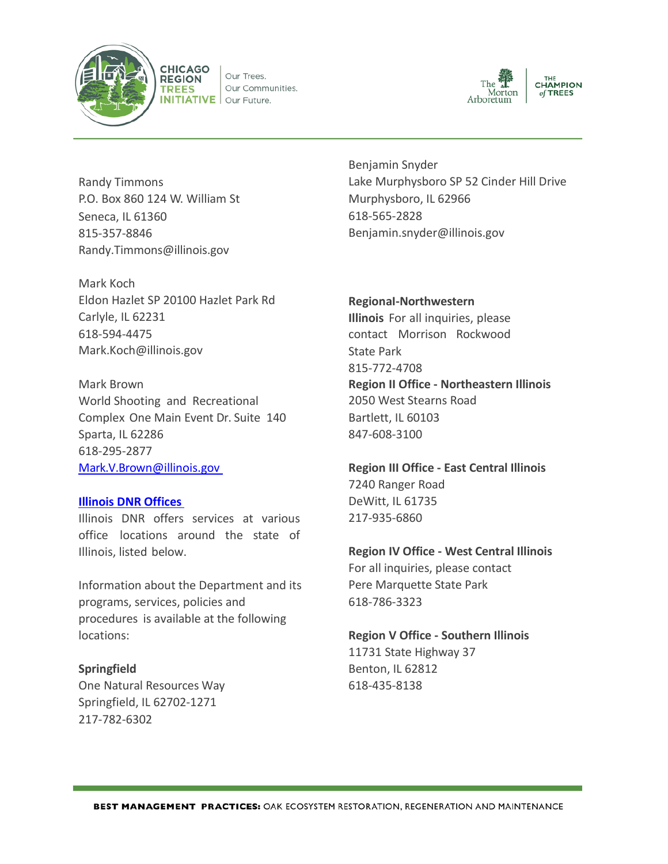

Our Trees. Our Communities. **INITIATIVE** Our Future.



Randy Timmons P.O. Box 860 124 W. William St Seneca, IL 61360 815-357-8846 [Randy.Timmons@illinois.gov](mailto:Randy.Timmons@illinois.gov)

Mark Koch Eldon Hazlet SP 20100 Hazlet Park Rd Carlyle, IL 62231 618-594-4475 [Mark.Koch@illinois.gov](mailto:Mark.Koch@illinois.gov)

Mark Brown World Shooting and Recreational Complex One Main Event Dr. Suite 140 Sparta, IL 62286 618-295-2877 [Mark.V.Brown@illinois.gov](mailto:Mark.V.Brown@illinois.gov) 

## **[Illinois DNR](https://www.dnr.illinois.gov/about/offices/Pages/default.aspx) Offices**

Illinois DNR offers services at various office locations around the state of Illinois, listed below.

Information about the Department and its programs, services, policies and procedures is available at the following locations:

## **Springfield**

One Natural Resources Way Springfield, IL 62702-1271 217-782-6302

Benjamin Snyder Lake Murphysboro SP 52 Cinder Hill Drive Murphysboro, IL 62966 618-565-2828 [Benjamin.snyder@illinois.gov](mailto:Benjamin.snyder@illinois.gov)

**RegionaI-Northwestern**

**Illinois** For all inquiries, please contact Morrison Rockwood State Park 815-772-4708 **Region II Office - Northeastern Illinois** 2050 West Stearns Road Bartlett, IL 60103 847-608-3100

**Region III Office - East Central Illinois** 7240 Ranger Road DeWitt, IL 61735 217-935-6860

## **Region IV Office - West Central Illinois**

For all inquiries, please contact Pere Marquette State Park 618-786-3323

**Region V Office - Southern Illinois** 11731 State Highway 37

Benton, IL 62812 618-435-8138